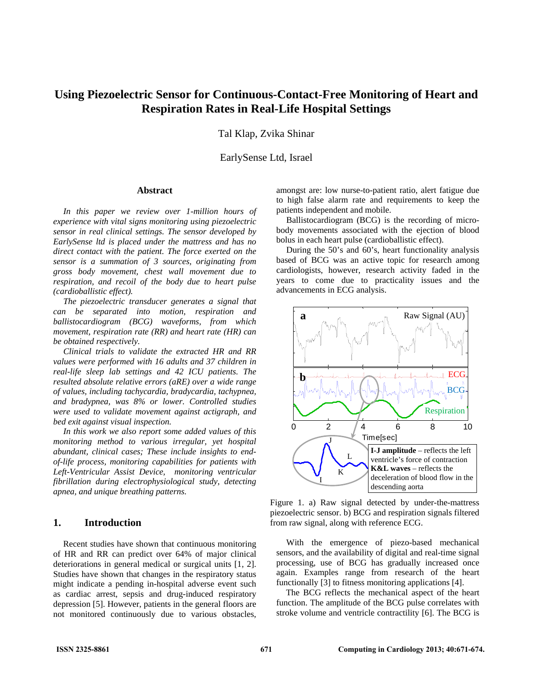# **Using Piezoelectric Sensor for Continuous-Contact-Free Monitoring of Heart and Respiration Rates in Real-Life Hospital Settings**

Tal Klap, Zvika Shinar

EarlySense Ltd, Israel

## **Abstract**

*In this paper we review over 1-million hours of experience with vital signs monitoring using piezoelectric sensor in real clinical settings. The sensor developed by EarlySense ltd is placed under the mattress and has no direct contact with the patient. The force exerted on the sensor is a summation of 3 sources, originating from gross body movement, chest wall movement due to respiration, and recoil of the body due to heart pulse (cardioballistic effect).* 

*The piezoelectric transducer generates a signal that can be separated into motion, respiration and ballistocardiogram (BCG) waveforms, from which movement, respiration rate (RR) and heart rate (HR) can be obtained respectively.* 

*Clinical trials to validate the extracted HR and RR values were performed with 16 adults and 37 children in real-life sleep lab settings and 42 ICU patients. The resulted absolute relative errors (aRE) over a wide range of values, including tachycardia, bradycardia, tachypnea, and bradypnea, was 8% or lower. Controlled studies were used to validate movement against actigraph, and bed exit against visual inspection.* 

*In this work we also report some added values of this monitoring method to various irregular, yet hospital abundant, clinical cases; These include insights to endof-life process, monitoring capabilities for patients with Left-Ventricular Assist Device, monitoring ventricular fibrillation during electrophysiological study, detecting apnea, and unique breathing patterns.* 

# **1. Introduction**

Recent studies have shown that continuous monitoring of HR and RR can predict over 64% of major clinical deteriorations in general medical or surgical units [1, 2]. Studies have shown that changes in the respiratory status might indicate a pending in-hospital adverse event such as cardiac arrest, sepsis and drug-induced respiratory depression [5]. However, patients in the general floors are not monitored continuously due to various obstacles,

amongst are: low nurse-to-patient ratio, alert fatigue due to high false alarm rate and requirements to keep the patients independent and mobile.

Ballistocardiogram (BCG) is the recording of microbody movements associated with the ejection of blood bolus in each heart pulse (cardioballistic effect).

During the 50's and 60's, heart functionality analysis based of BCG was an active topic for research among cardiologists, however, research activity faded in the years to come due to practicality issues and the advancements in ECG analysis.



Figure 1. a) Raw signal detected by under-the-mattress piezoelectric sensor. b) BCG and respiration signals filtered from raw signal, along with reference ECG.

With the emergence of piezo-based mechanical sensors, and the availability of digital and real-time signal processing, use of BCG has gradually increased once again. Examples range from research of the heart functionally [3] to fitness monitoring applications [4].

The BCG reflects the mechanical aspect of the heart function. The amplitude of the BCG pulse correlates with stroke volume and ventricle contractility [6]. The BCG is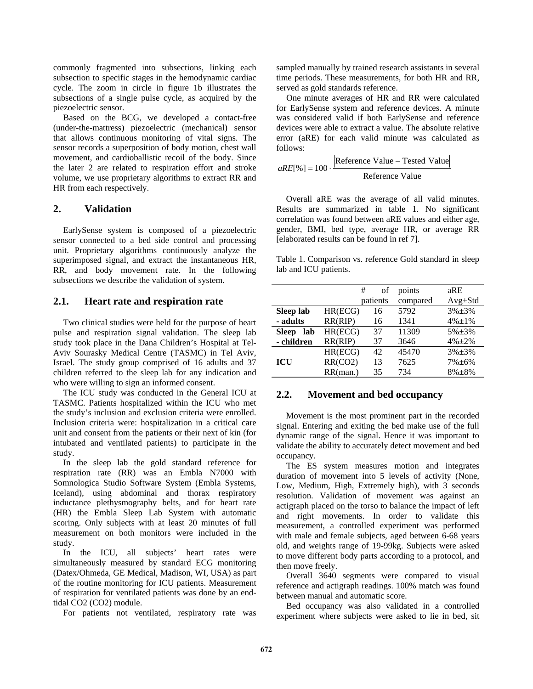commonly fragmented into subsections, linking each subsection to specific stages in the hemodynamic cardiac cycle. The zoom in circle in figure 1b illustrates the subsections of a single pulse cycle, as acquired by the piezoelectric sensor.

Based on the BCG, we developed a contact-free (under-the-mattress) piezoelectric (mechanical) sensor that allows continuous monitoring of vital signs. The sensor records a superposition of body motion, chest wall movement, and cardioballistic recoil of the body. Since the later 2 are related to respiration effort and stroke volume, we use proprietary algorithms to extract RR and HR from each respectively.

## **2. Validation**

EarlySense system is composed of a piezoelectric sensor connected to a bed side control and processing unit. Proprietary algorithms continuously analyze the superimposed signal, and extract the instantaneous HR, RR, and body movement rate. In the following subsections we describe the validation of system.

# **2.1. Heart rate and respiration rate**

Two clinical studies were held for the purpose of heart pulse and respiration signal validation. The sleep lab study took place in the Dana Children's Hospital at Tel-Aviv Sourasky Medical Centre (TASMC) in Tel Aviv, Israel. The study group comprised of 16 adults and 37 children referred to the sleep lab for any indication and who were willing to sign an informed consent.

The ICU study was conducted in the General ICU at TASMC. Patients hospitalized within the ICU who met the study's inclusion and exclusion criteria were enrolled. Inclusion criteria were: hospitalization in a critical care unit and consent from the patients or their next of kin (for intubated and ventilated patients) to participate in the study.

In the sleep lab the gold standard reference for respiration rate (RR) was an Embla N7000 with Somnologica Studio Software System (Embla Systems, Iceland), using abdominal and thorax respiratory inductance plethysmography belts, and for heart rate (HR) the Embla Sleep Lab System with automatic scoring. Only subjects with at least 20 minutes of full measurement on both monitors were included in the study.

In the ICU, all subjects' heart rates were simultaneously measured by standard ECG monitoring (Datex/Ohmeda, GE Medical, Madison, WI, USA) as part of the routine monitoring for ICU patients. Measurement of respiration for ventilated patients was done by an endtidal CO2 (CO2) module.

For patients not ventilated, respiratory rate was

sampled manually by trained research assistants in several time periods. These measurements, for both HR and RR, served as gold standards reference.

One minute averages of HR and RR were calculated for EarlySense system and reference devices. A minute was considered valid if both EarlySense and reference devices were able to extract a value. The absolute relative error (aRE) for each valid minute was calculated as follows:

$$
aRE[\%] = 100 \cdot \frac{\text{Reference Value} - \text{Tested Value}}{\text{Reference Value}}
$$

Overall aRE was the average of all valid minutes. Results are summarized in table 1. No significant correlation was found between aRE values and either age, gender, BMI, bed type, average HR, or average RR [elaborated results can be found in ref 7].

Table 1. Comparison vs. reference Gold standard in sleep lab and ICU patients.

|                     |          | #<br>of  | points   | aRE           |
|---------------------|----------|----------|----------|---------------|
|                     |          | patients | compared | $Avg \pm Std$ |
| Sleep lab           | HR(ECG)  | 16       | 5792     | $3\% + 3\%$   |
| - adults            | RR(RIP)  | 16       | 1341     | $4\% \pm 1\%$ |
| <b>Sleep</b><br>lab | HR(ECG)  | 37       | 11309    | $5\% \pm 3\%$ |
| - children          | RR(RIP)  | 37       | 3646     | $4\% + 2\%$   |
|                     | HR(ECG)  | 42       | 45470    | $3\% + 3\%$   |
| <b>ICU</b>          | RR(CO2)  | 13       | 7625     | $7\% + 6\%$   |
|                     | RR(man.) | 35       | 734      | $8\% + 8\%$   |

# **2.2. Movement and bed occupancy**

Movement is the most prominent part in the recorded signal. Entering and exiting the bed make use of the full dynamic range of the signal. Hence it was important to validate the ability to accurately detect movement and bed occupancy.

The ES system measures motion and integrates duration of movement into 5 levels of activity (None, Low, Medium, High, Extremely high), with 3 seconds resolution. Validation of movement was against an actigraph placed on the torso to balance the impact of left and right movements. In order to validate this measurement, a controlled experiment was performed with male and female subjects, aged between 6-68 years old, and weights range of 19-99kg. Subjects were asked to move different body parts according to a protocol, and then move freely.

Overall 3640 segments were compared to visual reference and actigraph readings. 100% match was found between manual and automatic score.

Bed occupancy was also validated in a controlled experiment where subjects were asked to lie in bed, sit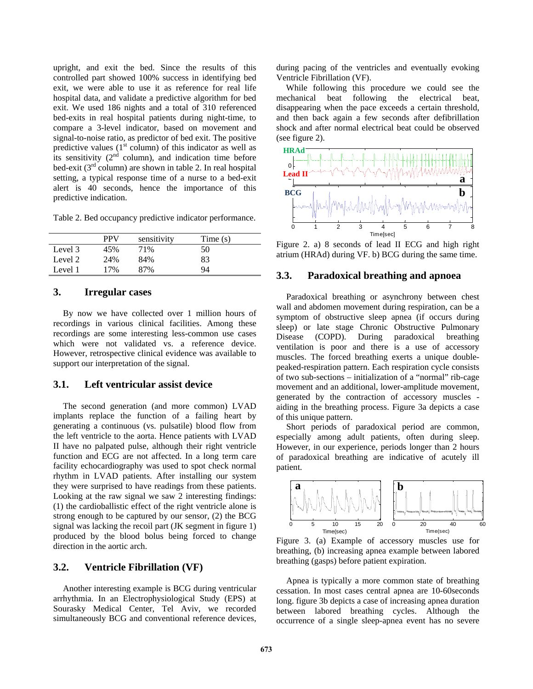upright, and exit the bed. Since the results of this controlled part showed 100% success in identifying bed exit, we were able to use it as reference for real life hospital data, and validate a predictive algorithm for bed exit. We used 186 nights and a total of 310 referenced bed-exits in real hospital patients during night-time, to compare a 3-level indicator, based on movement and signal-to-noise ratio, as predictor of bed exit. The positive predictive values  $(1<sup>st</sup>$  column) of this indicator as well as its sensitivity  $(2<sup>nd</sup>$  column), and indication time before bed-exit  $(3<sup>rd</sup> column)$  are shown in table 2. In real hospital setting, a typical response time of a nurse to a bed-exit alert is 40 seconds, hence the importance of this predictive indication.

Table 2. Bed occupancy predictive indicator performance.

|         | <b>PPV</b> | sensitivity | Time $(s)$ |
|---------|------------|-------------|------------|
| Level 3 | 45%        | 71%         | 50         |
| Level 2 | 24%        | 84%         | 83         |
| Level 1 | 17%        | 87%         | 94         |

## **3. Irregular cases**

By now we have collected over 1 million hours of recordings in various clinical facilities. Among these recordings are some interesting less-common use cases which were not validated vs. a reference device. However, retrospective clinical evidence was available to support our interpretation of the signal.

## **3.1. Left ventricular assist device**

The second generation (and more common) LVAD implants replace the function of a failing heart by generating a continuous (vs. pulsatile) blood flow from the left ventricle to the aorta. Hence patients with LVAD II have no palpated pulse, although their right ventricle function and ECG are not affected. In a long term care facility echocardiography was used to spot check normal rhythm in LVAD patients. After installing our system they were surprised to have readings from these patients. Looking at the raw signal we saw 2 interesting findings: (1) the cardioballistic effect of the right ventricle alone is strong enough to be captured by our sensor, (2) the BCG signal was lacking the recoil part (JK segment in figure 1) produced by the blood bolus being forced to change direction in the aortic arch.

#### **3.2. Ventricle Fibrillation (VF)**

Another interesting example is BCG during ventricular arrhythmia. In an Electrophysiological Study (EPS) at Sourasky Medical Center, Tel Aviv, we recorded simultaneously BCG and conventional reference devices, during pacing of the ventricles and eventually evoking Ventricle Fibrillation (VF).

While following this procedure we could see the mechanical beat following the electrical beat, disappearing when the pace exceeds a certain threshold, and then back again a few seconds after defibrillation shock and after normal electrical beat could be observed (see figure 2).



Figure 2. a) 8 seconds of lead II ECG and high right atrium (HRAd) during VF. b) BCG during the same time.

#### **3.3. Paradoxical breathing and apnoea**

Paradoxical breathing or asynchrony between chest wall and abdomen movement during respiration, can be a symptom of obstructive sleep apnea (if occurs during sleep) or late stage Chronic Obstructive Pulmonary Disease (COPD). During paradoxical breathing ventilation is poor and there is a use of accessory muscles. The forced breathing exerts a unique doublepeaked-respiration pattern. Each respiration cycle consists of two sub-sections – initialization of a "normal" rib-cage movement and an additional, lower-amplitude movement, generated by the contraction of accessory muscles aiding in the breathing process. Figure 3a depicts a case of this unique pattern.

Short periods of paradoxical period are common, especially among adult patients, often during sleep. However, in our experience, periods longer than 2 hours of paradoxical breathing are indicative of acutely ill patient.



Figure 3. (a) Example of accessory muscles use for breathing, (b) increasing apnea example between labored breathing (gasps) before patient expiration.

Apnea is typically a more common state of breathing cessation. In most cases central apnea are 10-60seconds long. figure 3b depicts a case of increasing apnea duration between labored breathing cycles. Although the occurrence of a single sleep-apnea event has no severe